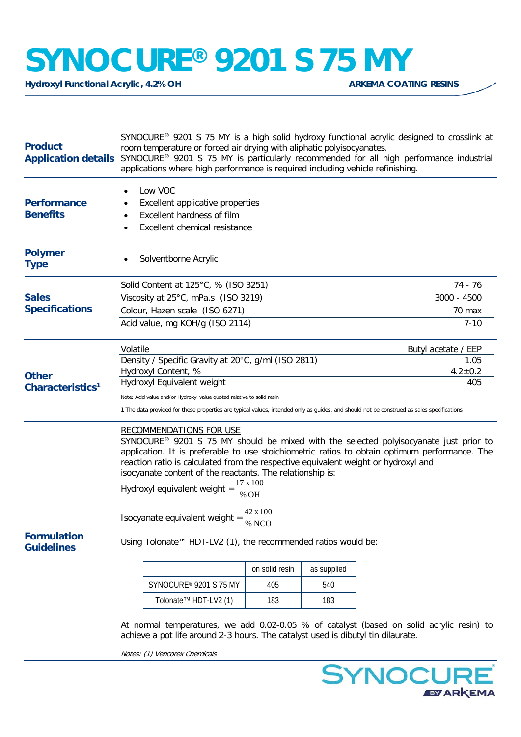## **SYNOCURE®** 9201 S 75 MY

**Hydroxyl Functional Acrylic, 4.2% OH** 

| <b>Product</b>                                                                        | SYNOCURE <sup>®</sup> 9201 S 75 MY is a high solid hydroxy functional acrylic designed to crosslink at<br>room temperature or forced air drying with aliphatic polyisocyanates.<br>Application details SYNOCURE® 9201 S 75 MY is particularly recommended for all high performance industrial<br>applications where high performance is required including vehicle refinishing. |                  |             |                                                                                                                                                                                                    |  |
|---------------------------------------------------------------------------------------|---------------------------------------------------------------------------------------------------------------------------------------------------------------------------------------------------------------------------------------------------------------------------------------------------------------------------------------------------------------------------------|------------------|-------------|----------------------------------------------------------------------------------------------------------------------------------------------------------------------------------------------------|--|
| <b>Performance</b><br><b>Benefits</b>                                                 | Low VOC<br>Excellent applicative properties<br>Excellent hardness of film<br>Excellent chemical resistance                                                                                                                                                                                                                                                                      |                  |             |                                                                                                                                                                                                    |  |
| <b>Polymer</b><br><b>Type</b>                                                         | Solventborne Acrylic                                                                                                                                                                                                                                                                                                                                                            |                  |             |                                                                                                                                                                                                    |  |
|                                                                                       | Solid Content at 125°C, % (ISO 3251)                                                                                                                                                                                                                                                                                                                                            | 74 - 76          |             |                                                                                                                                                                                                    |  |
| <b>Sales</b><br><b>Specifications</b><br><b>Other</b><br>Characteristics <sup>1</sup> | Viscosity at 25°C, mPa.s (ISO 3219)                                                                                                                                                                                                                                                                                                                                             | 3000 - 4500      |             |                                                                                                                                                                                                    |  |
|                                                                                       | Colour, Hazen scale (ISO 6271)                                                                                                                                                                                                                                                                                                                                                  | 70 max           |             |                                                                                                                                                                                                    |  |
|                                                                                       | Acid value, mg KOH/g (ISO 2114)                                                                                                                                                                                                                                                                                                                                                 |                  |             | $7 - 10$                                                                                                                                                                                           |  |
|                                                                                       | Volatile                                                                                                                                                                                                                                                                                                                                                                        |                  |             | Butyl acetate / EEP                                                                                                                                                                                |  |
|                                                                                       | Density / Specific Gravity at 20°C, g/ml (ISO 2811)                                                                                                                                                                                                                                                                                                                             |                  |             | 1.05                                                                                                                                                                                               |  |
|                                                                                       | Hydroxyl Content, %                                                                                                                                                                                                                                                                                                                                                             |                  |             | $4.2 \pm 0.2$                                                                                                                                                                                      |  |
|                                                                                       | Hydroxyl Equivalent weight                                                                                                                                                                                                                                                                                                                                                      |                  |             | 405                                                                                                                                                                                                |  |
|                                                                                       | Note: Acid value and/or Hydroxyl value quoted relative to solid resin                                                                                                                                                                                                                                                                                                           |                  |             |                                                                                                                                                                                                    |  |
|                                                                                       | 1 The data provided for these properties are typical values, intended only as guides, and should not be construed as sales specifications                                                                                                                                                                                                                                       |                  |             |                                                                                                                                                                                                    |  |
|                                                                                       | <b>RECOMMENDATIONS FOR USE</b><br>reaction ratio is calculated from the respective equivalent weight or hydroxyl and<br>isocyanate content of the reactants. The relationship is:<br>Hydroxyl equivalent weight =                                                                                                                                                               | 17 x 100<br>% OH |             | SYNOCURE <sup>®</sup> 9201 S 75 MY should be mixed with the selected polyisocyanate just prior to<br>application. It is preferable to use stoichiometric ratios to obtain optimum performance. The |  |
|                                                                                       | 42 x 100<br>Isocyanate equivalent weight =<br>% NCO                                                                                                                                                                                                                                                                                                                             |                  |             |                                                                                                                                                                                                    |  |
| <b>Formulation</b><br><b>Guidelines</b>                                               | Using Tolonate™ HDT-LV2 (1), the recommended ratios would be:                                                                                                                                                                                                                                                                                                                   |                  |             |                                                                                                                                                                                                    |  |
|                                                                                       |                                                                                                                                                                                                                                                                                                                                                                                 | on solid resin   | as supplied |                                                                                                                                                                                                    |  |
|                                                                                       | SYNOCURE® 9201 S 75 MY                                                                                                                                                                                                                                                                                                                                                          | 405              | 540         |                                                                                                                                                                                                    |  |
|                                                                                       | Tolonate™ HDT-LV2 (1)                                                                                                                                                                                                                                                                                                                                                           | 183              | 183         |                                                                                                                                                                                                    |  |
|                                                                                       |                                                                                                                                                                                                                                                                                                                                                                                 |                  |             | At normal tomporatures, we add 0.02.0.05, % of catalyst (based on solid acrylic resin) to                                                                                                          |  |

At normal temperatures, we add 0.02-0.05 % of catalyst (based on solid acrylic resin) to achieve a pot life around 2-3 hours. The catalyst used is dibutyl tin dilaurate.

Notes: (1) Vencorex Chemicals